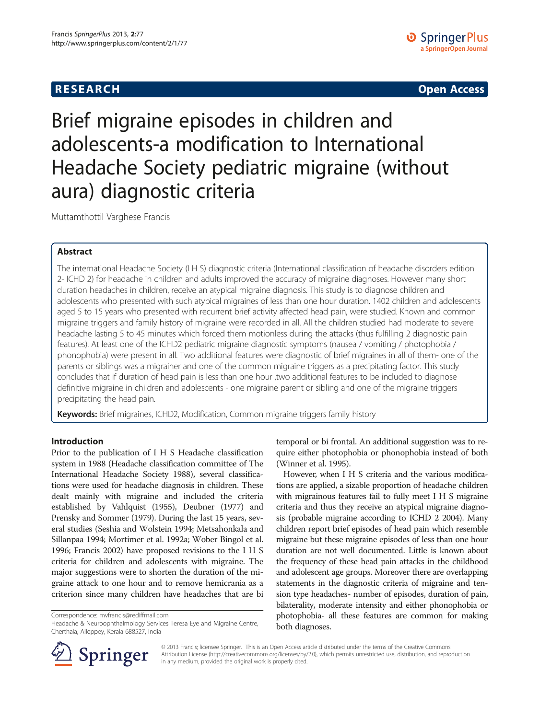## **RESEARCH CHE CHE Open Access**

# Brief migraine episodes in children and adolescents-a modification to International Headache Society pediatric migraine (without aura) diagnostic criteria

Muttamthottil Varghese Francis

## Abstract

The international Headache Society (I H S) diagnostic criteria (International classification of headache disorders edition 2- ICHD 2) for headache in children and adults improved the accuracy of migraine diagnoses. However many short duration headaches in children, receive an atypical migraine diagnosis. This study is to diagnose children and adolescents who presented with such atypical migraines of less than one hour duration. 1402 children and adolescents aged 5 to 15 years who presented with recurrent brief activity affected head pain, were studied. Known and common migraine triggers and family history of migraine were recorded in all. All the children studied had moderate to severe headache lasting 5 to 45 minutes which forced them motionless during the attacks (thus fulfilling 2 diagnostic pain features). At least one of the ICHD2 pediatric migraine diagnostic symptoms (nausea / vomiting / photophobia / phonophobia) were present in all. Two additional features were diagnostic of brief migraines in all of them- one of the parents or siblings was a migrainer and one of the common migraine triggers as a precipitating factor. This study concludes that if duration of head pain is less than one hour ,two additional features to be included to diagnose definitive migraine in children and adolescents - one migraine parent or sibling and one of the migraine triggers precipitating the head pain.

Keywords: Brief migraines, ICHD2, Modification, Common migraine triggers family history

### Introduction

Prior to the publication of I H S Headache classification system in 1988 (Headache classification committee of The International Headache Society [1988](#page-3-0)), several classifications were used for headache diagnosis in children. These dealt mainly with migraine and included the criteria established by Vahlquist ([1955](#page-3-0)), Deubner ([1977\)](#page-3-0) and Prensky and Sommer ([1979](#page-3-0)). During the last 15 years, several studies (Seshia and Wolstein [1994;](#page-3-0) Metsahonkala and Sillanpaa [1994](#page-3-0); Mortimer et al. [1992a](#page-3-0); Wober Bingol et al. [1996;](#page-3-0) Francis [2002\)](#page-3-0) have proposed revisions to the I H S criteria for children and adolescents with migraine. The major suggestions were to shorten the duration of the migraine attack to one hour and to remove hemicrania as a criterion since many children have headaches that are bi

Correspondence: [mvfrancis@rediffmail.com](mailto:mvfrancis@rediffmail.com)

Headache & Neuroophthalmology Services Teresa Eye and Migraine Centre, Cherthala, Alleppey, Kerala 688527, India



However, when I H S criteria and the various modifications are applied, a sizable proportion of headache children with migrainous features fail to fully meet I H S migraine criteria and thus they receive an atypical migraine diagnosis (probable migraine according to ICHD 2 [2004\)](#page-3-0). Many children report brief episodes of head pain which resemble migraine but these migraine episodes of less than one hour duration are not well documented. Little is known about the frequency of these head pain attacks in the childhood and adolescent age groups. Moreover there are overlapping statements in the diagnostic criteria of migraine and tension type headaches- number of episodes, duration of pain, bilaterality, moderate intensity and either phonophobia or photophobia- all these features are common for making both diagnoses.



© 2013 Francis; licensee Springer. This is an Open Access article distributed under the terms of the Creative Commons Attribution License [\(http://creativecommons.org/licenses/by/2.0\)](http://creativecommons.org/licenses/by/2.0), which permits unrestricted use, distribution, and reproduction in any medium, provided the original work is properly cited.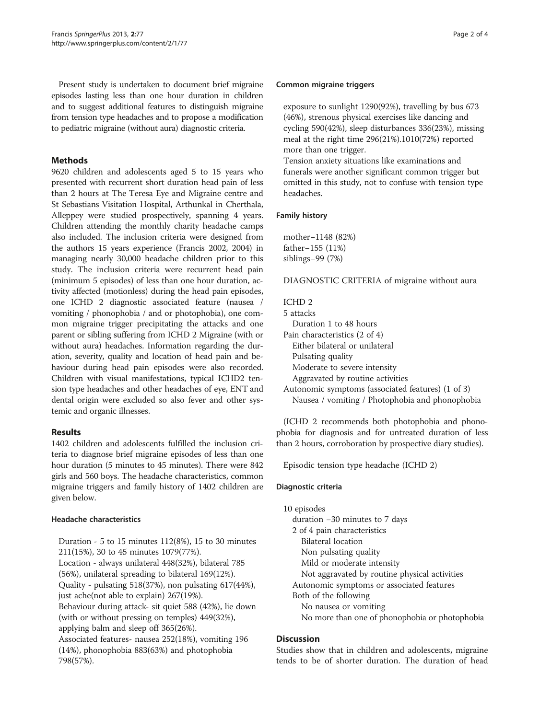Present study is undertaken to document brief migraine episodes lasting less than one hour duration in children and to suggest additional features to distinguish migraine from tension type headaches and to propose a modification to pediatric migraine (without aura) diagnostic criteria.

## **Methods**

9620 children and adolescents aged 5 to 15 years who presented with recurrent short duration head pain of less than 2 hours at The Teresa Eye and Migraine centre and St Sebastians Visitation Hospital, Arthunkal in Cherthala, Alleppey were studied prospectively, spanning 4 years. Children attending the monthly charity headache camps also included. The inclusion criteria were designed from the authors 15 years experience (Francis [2002](#page-3-0), [2004](#page-3-0)) in managing nearly 30,000 headache children prior to this study. The inclusion criteria were recurrent head pain (minimum 5 episodes) of less than one hour duration, activity affected (motionless) during the head pain episodes, one ICHD 2 diagnostic associated feature (nausea / vomiting / phonophobia / and or photophobia), one common migraine trigger precipitating the attacks and one parent or sibling suffering from ICHD 2 Migraine (with or without aura) headaches. Information regarding the duration, severity, quality and location of head pain and behaviour during head pain episodes were also recorded. Children with visual manifestations, typical ICHD2 tension type headaches and other headaches of eye, ENT and dental origin were excluded so also fever and other systemic and organic illnesses.

## Results

1402 children and adolescents fulfilled the inclusion criteria to diagnose brief migraine episodes of less than one hour duration (5 minutes to 45 minutes). There were 842 girls and 560 boys. The headache characteristics, common migraine triggers and family history of 1402 children are given below.

## Headache characteristics

Duration - 5 to 15 minutes 112(8%), 15 to 30 minutes 211(15%), 30 to 45 minutes 1079(77%). Location - always unilateral 448(32%), bilateral 785 (56%), unilateral spreading to bilateral 169(12%). Quality - pulsating 518(37%), non pulsating 617(44%), just ache(not able to explain) 267(19%). Behaviour during attack- sit quiet 588 (42%), lie down (with or without pressing on temples) 449(32%), applying balm and sleep off 365(26%). Associated features- nausea 252(18%), vomiting 196 (14%), phonophobia 883(63%) and photophobia 798(57%).

### Common migraine triggers

exposure to sunlight 1290(92%), travelling by bus 673 (46%), strenous physical exercises like dancing and cycling 590(42%), sleep disturbances 336(23%), missing meal at the right time 296(21%).1010(72%) reported more than one trigger.

Tension anxiety situations like examinations and funerals were another significant common trigger but omitted in this study, not to confuse with tension type headaches.

## Family history

mother−1148 (82%) father−155 (11%) siblings−99 (7%)

DIAGNOSTIC CRITERIA of migraine without aura

## ICHD 2

5 attacks Duration 1 to 48 hours Pain characteristics (2 of 4) Either bilateral or unilateral Pulsating quality Moderate to severe intensity Aggravated by routine activities

Autonomic symptoms (associated features) (1 of 3) Nausea / vomiting / Photophobia and phonophobia

(ICHD 2 recommends both photophobia and phonophobia for diagnosis and for untreated duration of less than 2 hours, corroboration by prospective diary studies).

Episodic tension type headache (ICHD 2)

## Diagnostic criteria

10 episodes duration −30 minutes to 7 days 2 of 4 pain characteristics Bilateral location Non pulsating quality Mild or moderate intensity Not aggravated by routine physical activities Autonomic symptoms or associated features Both of the following No nausea or vomiting No more than one of phonophobia or photophobia

## **Discussion**

Studies show that in children and adolescents, migraine tends to be of shorter duration. The duration of head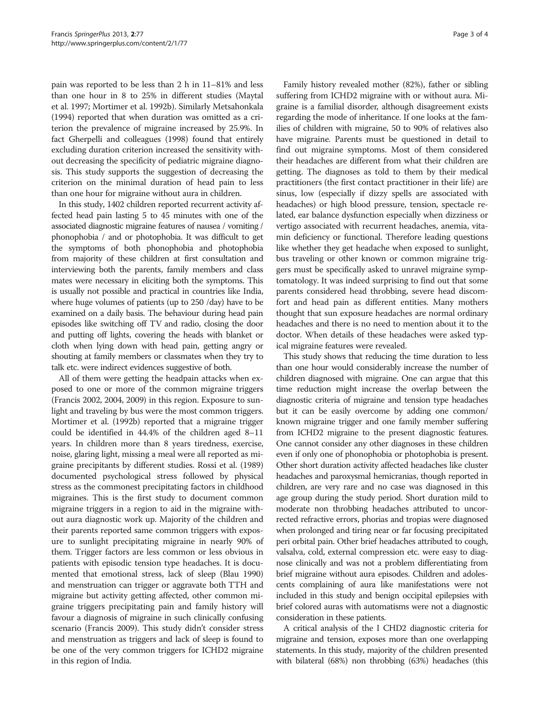pain was reported to be less than 2 h in 11–81% and less than one hour in 8 to 25% in different studies (Maytal et al. [1997](#page-3-0); Mortimer et al. [1992b](#page-3-0)). Similarly Metsahonkala ([1994\)](#page-3-0) reported that when duration was omitted as a criterion the prevalence of migraine increased by 25.9%. In fact Gherpelli and colleagues [\(1998](#page-3-0)) found that entirely excluding duration criterion increased the sensitivity without decreasing the specificity of pediatric migraine diagnosis. This study supports the suggestion of decreasing the criterion on the minimal duration of head pain to less than one hour for migraine without aura in children.

In this study, 1402 children reported recurrent activity affected head pain lasting 5 to 45 minutes with one of the associated diagnostic migraine features of nausea / vomiting / phonophobia / and or photophobia. It was difficult to get the symptoms of both phonophobia and photophobia from majority of these children at first consultation and interviewing both the parents, family members and class mates were necessary in eliciting both the symptoms. This is usually not possible and practical in countries like India, where huge volumes of patients (up to 250 /day) have to be examined on a daily basis. The behaviour during head pain episodes like switching off TV and radio, closing the door and putting off lights, covering the heads with blanket or cloth when lying down with head pain, getting angry or shouting at family members or classmates when they try to talk etc. were indirect evidences suggestive of both.

All of them were getting the headpain attacks when exposed to one or more of the common migraine triggers (Francis [2002](#page-3-0), [2004](#page-3-0), [2009](#page-3-0)) in this region. Exposure to sunlight and traveling by bus were the most common triggers. Mortimer et al. [\(1992b\)](#page-3-0) reported that a migraine trigger could be identified in 44.4% of the children aged 8–11 years. In children more than 8 years tiredness, exercise, noise, glaring light, missing a meal were all reported as migraine precipitants by different studies. Rossi et al. [\(1989](#page-3-0)) documented psychological stress followed by physical stress as the commonest precipitating factors in childhood migraines. This is the first study to document common migraine triggers in a region to aid in the migraine without aura diagnostic work up. Majority of the children and their parents reported same common triggers with exposure to sunlight precipitating migraine in nearly 90% of them. Trigger factors are less common or less obvious in patients with episodic tension type headaches. It is documented that emotional stress, lack of sleep (Blau [1990](#page-3-0)) and menstruation can trigger or aggravate both TTH and migraine but activity getting affected, other common migraine triggers precipitating pain and family history will favour a diagnosis of migraine in such clinically confusing scenario (Francis [2009](#page-3-0)). This study didn't consider stress and menstruation as triggers and lack of sleep is found to be one of the very common triggers for ICHD2 migraine in this region of India.

Family history revealed mother (82%), father or sibling suffering from ICHD2 migraine with or without aura. Migraine is a familial disorder, although disagreement exists regarding the mode of inheritance. If one looks at the families of children with migraine, 50 to 90% of relatives also have migraine. Parents must be questioned in detail to find out migraine symptoms. Most of them considered their headaches are different from what their children are getting. The diagnoses as told to them by their medical practitioners (the first contact practitioner in their life) are sinus, low (especially if dizzy spells are associated with headaches) or high blood pressure, tension, spectacle related, ear balance dysfunction especially when dizziness or vertigo associated with recurrent headaches, anemia, vitamin deficiency or functional. Therefore leading questions like whether they get headache when exposed to sunlight, bus traveling or other known or common migraine triggers must be specifically asked to unravel migraine symptomatology. It was indeed surprising to find out that some parents considered head throbbing, severe head discomfort and head pain as different entities. Many mothers thought that sun exposure headaches are normal ordinary headaches and there is no need to mention about it to the doctor. When details of these headaches were asked typical migraine features were revealed.

This study shows that reducing the time duration to less than one hour would considerably increase the number of children diagnosed with migraine. One can argue that this time reduction might increase the overlap between the diagnostic criteria of migraine and tension type headaches but it can be easily overcome by adding one common/ known migraine trigger and one family member suffering from ICHD2 migraine to the present diagnostic features. One cannot consider any other diagnoses in these children even if only one of phonophobia or photophobia is present. Other short duration activity affected headaches like cluster headaches and paroxysmal hemicranias, though reported in children, are very rare and no case was diagnosed in this age group during the study period. Short duration mild to moderate non throbbing headaches attributed to uncorrected refractive errors, phorias and tropias were diagnosed when prolonged and tiring near or far focusing precipitated peri orbital pain. Other brief headaches attributed to cough, valsalva, cold, external compression etc. were easy to diagnose clinically and was not a problem differentiating from brief migraine without aura episodes. Children and adolescents complaining of aura like manifestations were not included in this study and benign occipital epilepsies with brief colored auras with automatisms were not a diagnostic consideration in these patients.

A critical analysis of the I CHD2 diagnostic criteria for migraine and tension, exposes more than one overlapping statements. In this study, majority of the children presented with bilateral (68%) non throbbing (63%) headaches (this